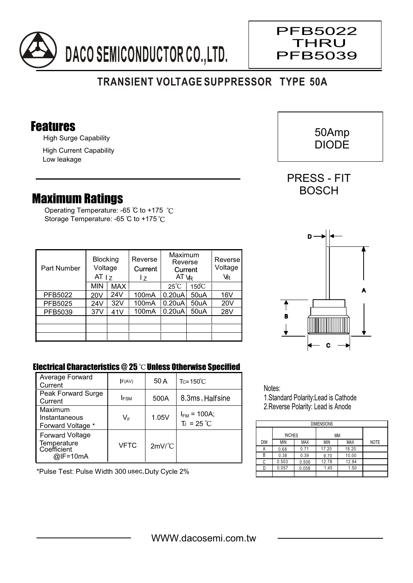

## **TRANSIENT VOLTAGE SUPPRESSOR TYPE 50A**

#### Features

High Surge Capability

High Current Capability Low leakage

### Maximum Ratings

Operating Temperature: -65 °C to +175 °C Storage Temperature: -65 °C to +175 °C

| Part Number | <b>Blocking</b><br>Voltage<br>AT <sub>1z</sub> |     | Reverse<br>Current<br>17 | Maximum<br>Reverse<br>Current<br>AT VR |                 | Reverse<br>Voltage<br>VR |
|-------------|------------------------------------------------|-----|--------------------------|----------------------------------------|-----------------|--------------------------|
|             | <b>MIN</b>                                     | MAX |                          | $25^{\circ}$ C                         | $150^{\circ}$ C |                          |
| PFB5022     | 20V                                            | 24V | 100 <sub>m</sub> A       | 0.20 <sub>u</sub> A                    | 50uA            | 16V                      |
| PFB5025     | 24V                                            | 32V | 100 <sub>m</sub> A       | 0.20 <sub>u</sub> A                    | 50uA            | 20V                      |
| PFB5039     | 37V                                            | 41V | 100 <sub>m</sub> A       | 0.20 <sub>u</sub> A                    | 50uA            | 28V                      |
|             |                                                |     |                          |                                        |                 |                          |
|             |                                                |     |                          |                                        |                 |                          |
|             |                                                |     |                          |                                        |                 |                          |

# C A B D

#### Electrical Characteristics  $@25$   $^{\circ}$ C Unless Otherwise Specified

| Average Forward<br>Current                                       | F(AV)       | 50 A                 | $Tc = 150^{\circ}$ C                    |
|------------------------------------------------------------------|-------------|----------------------|-----------------------------------------|
| Peak Forward Surge<br>Current                                    | <b>IFSM</b> | 500A                 | 8.3ms, Halfsine                         |
| Maximum<br>Instantaneous<br>Forward Voltage *                    | VF          | 1.05V                | $I_{FM}$ = 100A;<br>$T_J = 25^{\circ}C$ |
| <b>Forward Voltage</b><br>Temperature<br>Coefficient<br>@IF=10mA | VFTC        | $2mV$ <sup>°</sup> C |                                         |

\*Pulse Test: Pulse Width 300 usec,Duty Cycle 2%

Notes: 1.Standard Polarity:Lead is Cathode 2.Reverse Polarity: Lead is Anode

| <b>DIMENSIONS</b> |               |            |       |            |             |  |  |  |  |  |
|-------------------|---------------|------------|-------|------------|-------------|--|--|--|--|--|
|                   | <b>INCHES</b> |            | МM    |            |             |  |  |  |  |  |
| <b>DIM</b>        | <b>MIN</b>    | <b>MAX</b> | MIN   | <b>MAX</b> | <b>NOTE</b> |  |  |  |  |  |
| Α                 | 0.68          | 0.71       | 17.20 | 18.20      |             |  |  |  |  |  |
| R                 | 0.38          | 0.39       | 9.70  | 10.00      |             |  |  |  |  |  |
| C                 | 0.503         | 0.506      | 12.78 | 12.84      |             |  |  |  |  |  |
|                   | 0.057         | 0.058      | 1.45  | 1.50       |             |  |  |  |  |  |
|                   |               |            |       |            |             |  |  |  |  |  |



PRESS - FIT **BOSCH** 

 $\overline{\phantom{a}}$ 

PFB5022 **THRU** PFB5039